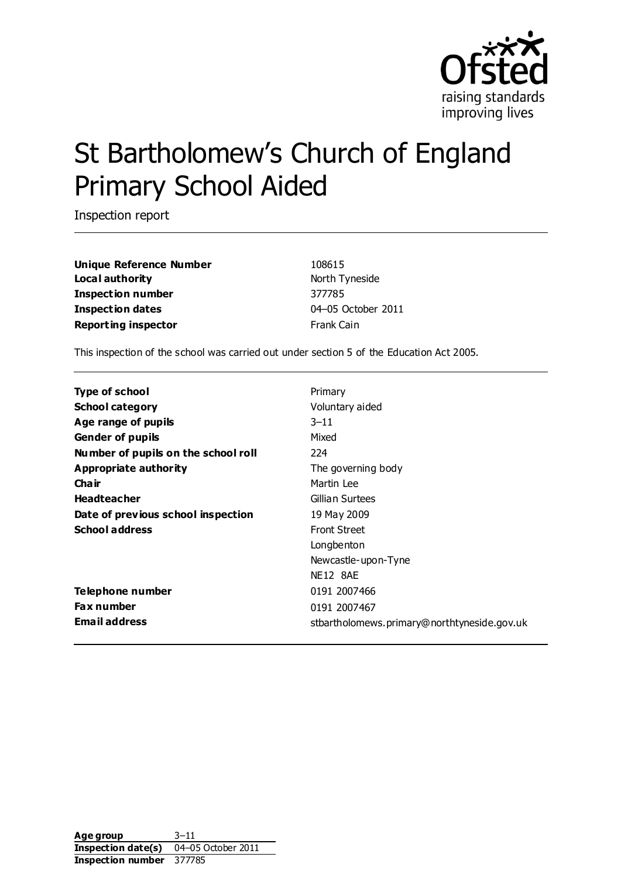

# St Bartholomew's Church of England Primary School Aided

Inspection report

**Unique Reference Number** 108615 **Local authority North Tyneside Inspection number** 377785 **Inspection dates** 04–05 October 2011 **Reporting inspector** Frank Cain

This inspection of the school was carried out under section 5 of the Education Act 2005.

| Type of school                      | Primary                                     |
|-------------------------------------|---------------------------------------------|
| <b>School category</b>              | Voluntary aided                             |
| Age range of pupils                 | $3 - 11$                                    |
| <b>Gender of pupils</b>             | Mixed                                       |
| Number of pupils on the school roll | 224                                         |
| Appropriate authority               | The governing body                          |
| Cha ir                              | Martin Lee                                  |
| <b>Headteacher</b>                  | Gillian Surtees                             |
| Date of previous school inspection  | 19 May 2009                                 |
| <b>School address</b>               | <b>Front Street</b>                         |
|                                     | Longbenton                                  |
|                                     | Newcastle-upon-Tyne                         |
|                                     | <b>NE12 8AE</b>                             |
| Telephone number                    | 0191 2007466                                |
| <b>Fax number</b>                   | 0191 2007467                                |
| <b>Email address</b>                | stbartholomews.primary@northtyneside.gov.uk |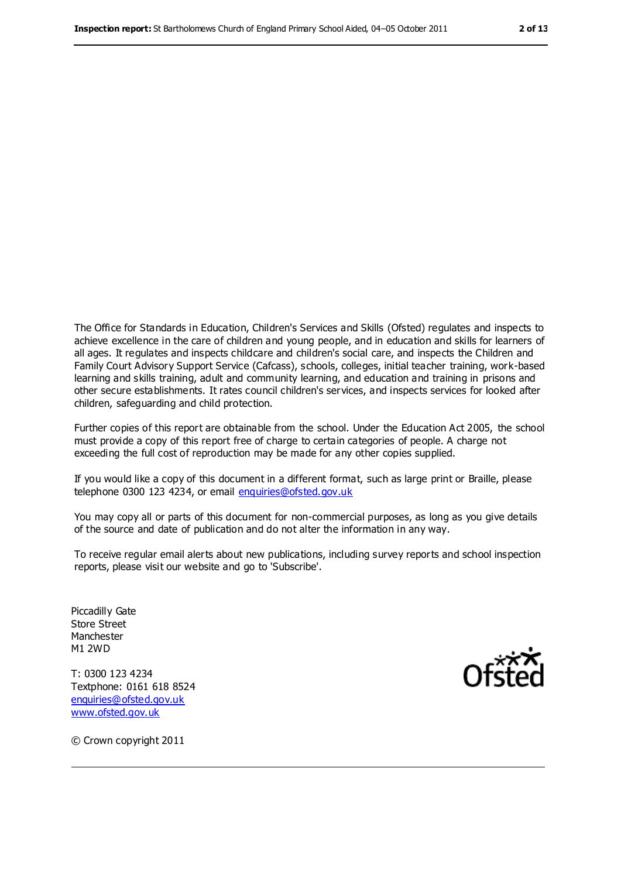The Office for Standards in Education, Children's Services and Skills (Ofsted) regulates and inspects to achieve excellence in the care of children and young people, and in education and skills for learners of all ages. It regulates and inspects childcare and children's social care, and inspects the Children and Family Court Advisory Support Service (Cafcass), schools, colleges, initial teacher training, work-based learning and skills training, adult and community learning, and education and training in prisons and other secure establishments. It rates council children's services, and inspects services for looked after children, safeguarding and child protection.

Further copies of this report are obtainable from the school. Under the Education Act 2005, the school must provide a copy of this report free of charge to certain categories of people. A charge not exceeding the full cost of reproduction may be made for any other copies supplied.

If you would like a copy of this document in a different format, such as large print or Braille, please telephone 0300 123 4234, or email [enquiries@ofsted.gov.uk](mailto:enquiries@ofsted.gov.uk)

You may copy all or parts of this document for non-commercial purposes, as long as you give details of the source and date of publication and do not alter the information in any way.

To receive regular email alerts about new publications, including survey reports and school inspection reports, please visit our website and go to 'Subscribe'.

Piccadilly Gate Store Street Manchester M1 2WD

T: 0300 123 4234 Textphone: 0161 618 8524 [enquiries@ofsted.gov.uk](mailto:enquiries@ofsted.gov.uk) [www.ofsted.gov.uk](http://www.ofsted.gov.uk)



© Crown copyright 2011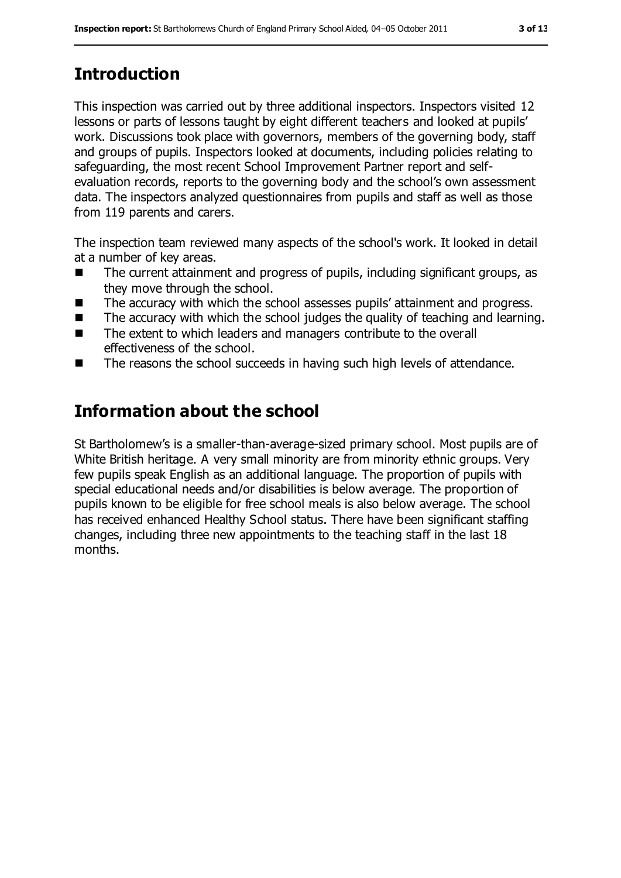# **Introduction**

This inspection was carried out by three additional inspectors. Inspectors visited 12 lessons or parts of lessons taught by eight different teachers and looked at pupils' work. Discussions took place with governors, members of the governing body, staff and groups of pupils. Inspectors looked at documents, including policies relating to safeguarding, the most recent School Improvement Partner report and selfevaluation records, reports to the governing body and the school's own assessment data. The inspectors analyzed questionnaires from pupils and staff as well as those from 119 parents and carers.

The inspection team reviewed many aspects of the school's work. It looked in detail at a number of key areas.

- The current attainment and progress of pupils, including significant groups, as they move through the school.
- The accuracy with which the school assesses pupils' attainment and progress.
- $\blacksquare$  The accuracy with which the school judges the quality of teaching and learning.
- The extent to which leaders and managers contribute to the overall effectiveness of the school.
- The reasons the school succeeds in having such high levels of attendance.

## **Information about the school**

St Bartholomew's is a smaller-than-average-sized primary school. Most pupils are of White British heritage. A very small minority are from minority ethnic groups. Very few pupils speak English as an additional language. The proportion of pupils with special educational needs and/or disabilities is below average. The proportion of pupils known to be eligible for free school meals is also below average. The school has received enhanced Healthy School status. There have been significant staffing changes, including three new appointments to the teaching staff in the last 18 months.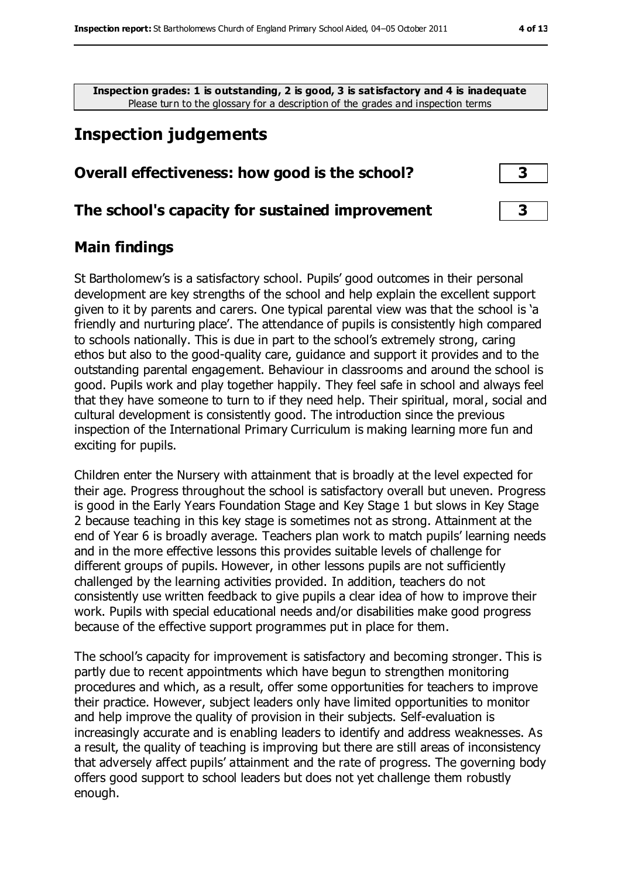**Inspection grades: 1 is outstanding, 2 is good, 3 is satisfactory and 4 is inadequate** Please turn to the glossary for a description of the grades and inspection terms

## **Inspection judgements**

#### **Overall effectiveness: how good is the school? 3**

#### **The school's capacity for sustained improvement 3**

#### **Main findings**

St Bartholomew's is a satisfactory school. Pupils' good outcomes in their personal development are key strengths of the school and help explain the excellent support given to it by parents and carers. One typical parental view was that the school is 'a friendly and nurturing place'. The attendance of pupils is consistently high compared to schools nationally. This is due in part to the school's extremely strong, caring ethos but also to the good-quality care, guidance and support it provides and to the outstanding parental engagement. Behaviour in classrooms and around the school is good. Pupils work and play together happily. They feel safe in school and always feel that they have someone to turn to if they need help. Their spiritual, moral, social and cultural development is consistently good. The introduction since the previous inspection of the International Primary Curriculum is making learning more fun and exciting for pupils.

Children enter the Nursery with attainment that is broadly at the level expected for their age. Progress throughout the school is satisfactory overall but uneven. Progress is good in the Early Years Foundation Stage and Key Stage 1 but slows in Key Stage 2 because teaching in this key stage is sometimes not as strong. Attainment at the end of Year 6 is broadly average. Teachers plan work to match pupils' learning needs and in the more effective lessons this provides suitable levels of challenge for different groups of pupils. However, in other lessons pupils are not sufficiently challenged by the learning activities provided. In addition, teachers do not consistently use written feedback to give pupils a clear idea of how to improve their work. Pupils with special educational needs and/or disabilities make good progress because of the effective support programmes put in place for them.

The school's capacity for improvement is satisfactory and becoming stronger. This is partly due to recent appointments which have begun to strengthen monitoring procedures and which, as a result, offer some opportunities for teachers to improve their practice. However, subject leaders only have limited opportunities to monitor and help improve the quality of provision in their subjects. Self-evaluation is increasingly accurate and is enabling leaders to identify and address weaknesses. As a result, the quality of teaching is improving but there are still areas of inconsistency that adversely affect pupils' attainment and the rate of progress. The governing body offers good support to school leaders but does not yet challenge them robustly enough.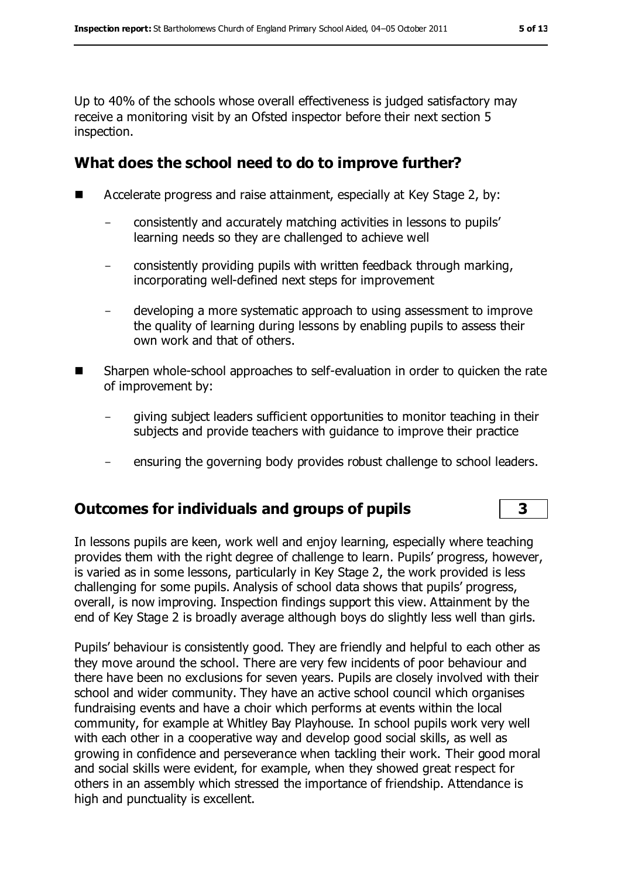Up to 40% of the schools whose overall effectiveness is judged satisfactory may receive a monitoring visit by an Ofsted inspector before their next section 5 inspection.

### **What does the school need to do to improve further?**

- Accelerate progress and raise attainment, especially at Key Stage 2, by:
	- consistently and accurately matching activities in lessons to pupils' learning needs so they are challenged to achieve well
	- consistently providing pupils with written feedback through marking, incorporating well-defined next steps for improvement
	- developing a more systematic approach to using assessment to improve the quality of learning during lessons by enabling pupils to assess their own work and that of others.
- Sharpen whole-school approaches to self-evaluation in order to quicken the rate of improvement by:
	- giving subject leaders sufficient opportunities to monitor teaching in their subjects and provide teachers with guidance to improve their practice
	- ensuring the governing body provides robust challenge to school leaders.

#### **Outcomes for individuals and groups of pupils 3**

In lessons pupils are keen, work well and enjoy learning, especially where teaching provides them with the right degree of challenge to learn. Pupils' progress, however, is varied as in some lessons, particularly in Key Stage 2, the work provided is less challenging for some pupils. Analysis of school data shows that pupils' progress, overall, is now improving. Inspection findings support this view. Attainment by the end of Key Stage 2 is broadly average although boys do slightly less well than girls.

Pupils' behaviour is consistently good. They are friendly and helpful to each other as they move around the school. There are very few incidents of poor behaviour and there have been no exclusions for seven years. Pupils are closely involved with their school and wider community. They have an active school council which organises fundraising events and have a choir which performs at events within the local community, for example at Whitley Bay Playhouse. In school pupils work very well with each other in a cooperative way and develop good social skills, as well as growing in confidence and perseverance when tackling their work. Their good moral and social skills were evident, for example, when they showed great respect for others in an assembly which stressed the importance of friendship. Attendance is high and punctuality is excellent.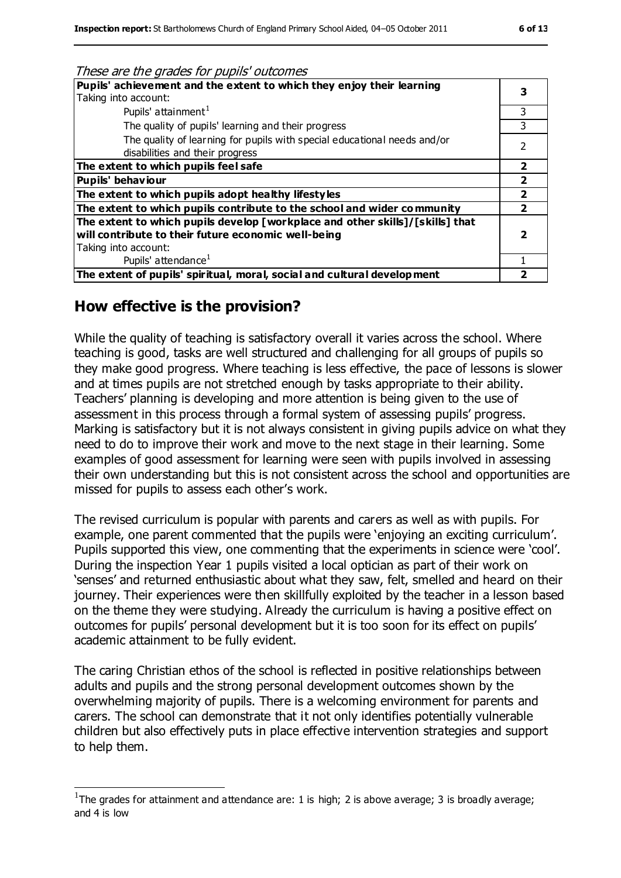| These are the grades for pupils' outcomes                                     |   |
|-------------------------------------------------------------------------------|---|
| Pupils' achievement and the extent to which they enjoy their learning         |   |
| Taking into account:                                                          |   |
| Pupils' attainment <sup>1</sup>                                               | 3 |
| The quality of pupils' learning and their progress                            |   |
| The quality of learning for pupils with special educational needs and/or      | 2 |
| disabilities and their progress                                               |   |
| The extent to which pupils feel safe                                          |   |
| Pupils' behaviour                                                             | 7 |
| The extent to which pupils adopt healthy lifestyles                           | 2 |
| The extent to which pupils contribute to the school and wider community       | 2 |
| The extent to which pupils develop [workplace and other skills]/[skills] that |   |
| will contribute to their future economic well-being                           |   |
| Taking into account:                                                          |   |
| Pupils' attendance <sup>1</sup>                                               |   |
| The extent of pupils' spiritual, moral, social and cultural develop ment      |   |

#### **How effective is the provision?**

l

While the quality of teaching is satisfactory overall it varies across the school. Where teaching is good, tasks are well structured and challenging for all groups of pupils so they make good progress. Where teaching is less effective, the pace of lessons is slower and at times pupils are not stretched enough by tasks appropriate to their ability. Teachers' planning is developing and more attention is being given to the use of assessment in this process through a formal system of assessing pupils' progress. Marking is satisfactory but it is not always consistent in giving pupils advice on what they need to do to improve their work and move to the next stage in their learning. Some examples of good assessment for learning were seen with pupils involved in assessing their own understanding but this is not consistent across the school and opportunities are missed for pupils to assess each other's work.

The revised curriculum is popular with parents and carers as well as with pupils. For example, one parent commented that the pupils were 'enjoying an exciting curriculum'. Pupils supported this view, one commenting that the experiments in science were 'cool'. During the inspection Year 1 pupils visited a local optician as part of their work on 'senses' and returned enthusiastic about what they saw, felt, smelled and heard on their journey. Their experiences were then skillfully exploited by the teacher in a lesson based on the theme they were studying. Already the curriculum is having a positive effect on outcomes for pupils' personal development but it is too soon for its effect on pupils' academic attainment to be fully evident.

The caring Christian ethos of the school is reflected in positive relationships between adults and pupils and the strong personal development outcomes shown by the overwhelming majority of pupils. There is a welcoming environment for parents and carers. The school can demonstrate that it not only identifies potentially vulnerable children but also effectively puts in place effective intervention strategies and support to help them.

<sup>&</sup>lt;sup>1</sup>The grades for attainment and attendance are: 1 is high; 2 is above average; 3 is broadly average; and 4 is low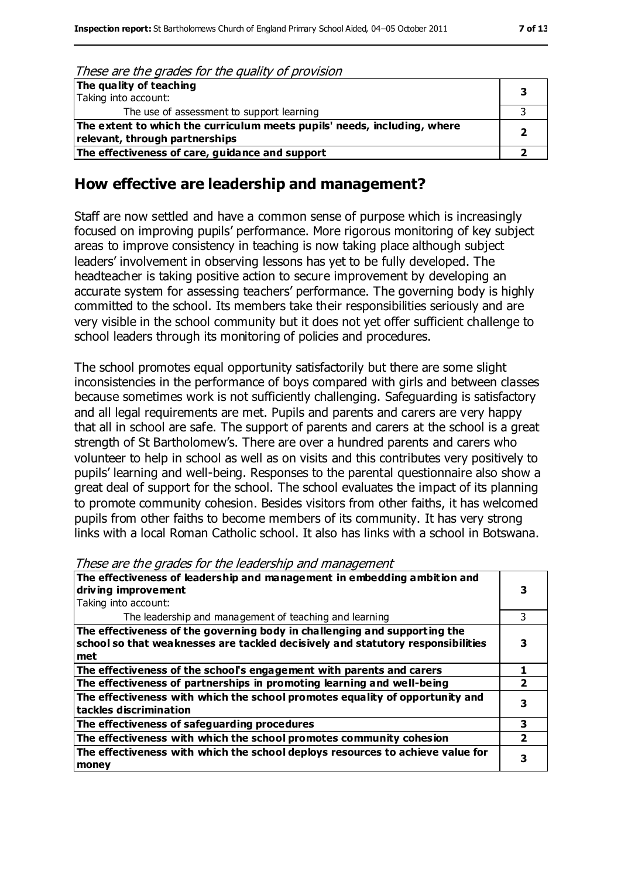#### These are the grades for the quality of provision

| The quality of teaching                                                                                    |  |
|------------------------------------------------------------------------------------------------------------|--|
| Taking into account:                                                                                       |  |
| The use of assessment to support learning                                                                  |  |
| The extent to which the curriculum meets pupils' needs, including, where<br>relevant, through partnerships |  |
| The effectiveness of care, guidance and support                                                            |  |

#### **How effective are leadership and management?**

Staff are now settled and have a common sense of purpose which is increasingly focused on improving pupils' performance. More rigorous monitoring of key subject areas to improve consistency in teaching is now taking place although subject leaders' involvement in observing lessons has yet to be fully developed. The headteacher is taking positive action to secure improvement by developing an accurate system for assessing teachers' performance. The governing body is highly committed to the school. Its members take their responsibilities seriously and are very visible in the school community but it does not yet offer sufficient challenge to school leaders through its monitoring of policies and procedures.

The school promotes equal opportunity satisfactorily but there are some slight inconsistencies in the performance of boys compared with girls and between classes because sometimes work is not sufficiently challenging. Safeguarding is satisfactory and all legal requirements are met. Pupils and parents and carers are very happy that all in school are safe. The support of parents and carers at the school is a great strength of St Bartholomew's. There are over a hundred parents and carers who volunteer to help in school as well as on visits and this contributes very positively to pupils' learning and well-being. Responses to the parental questionnaire also show a great deal of support for the school. The school evaluates the impact of its planning to promote community cohesion. Besides visitors from other faiths, it has welcomed pupils from other faiths to become members of its community. It has very strong links with a local Roman Catholic school. It also has links with a school in Botswana.

These are the grades for the leadership and management

| The effectiveness of leadership and management in embedding ambition and<br>driving improvement                                                                     |   |
|---------------------------------------------------------------------------------------------------------------------------------------------------------------------|---|
| Taking into account:                                                                                                                                                |   |
| The leadership and management of teaching and learning                                                                                                              |   |
| The effectiveness of the governing body in challenging and supporting the<br>school so that weaknesses are tackled decisively and statutory responsibilities<br>met |   |
| The effectiveness of the school's engagement with parents and carers                                                                                                |   |
| The effectiveness of partnerships in promoting learning and well-being                                                                                              |   |
| The effectiveness with which the school promotes equality of opportunity and<br>tackles discrimination                                                              | 3 |
| The effectiveness of safeguarding procedures                                                                                                                        | 3 |
| The effectiveness with which the school promotes community cohesion                                                                                                 |   |
| The effectiveness with which the school deploys resources to achieve value for<br>money                                                                             | 3 |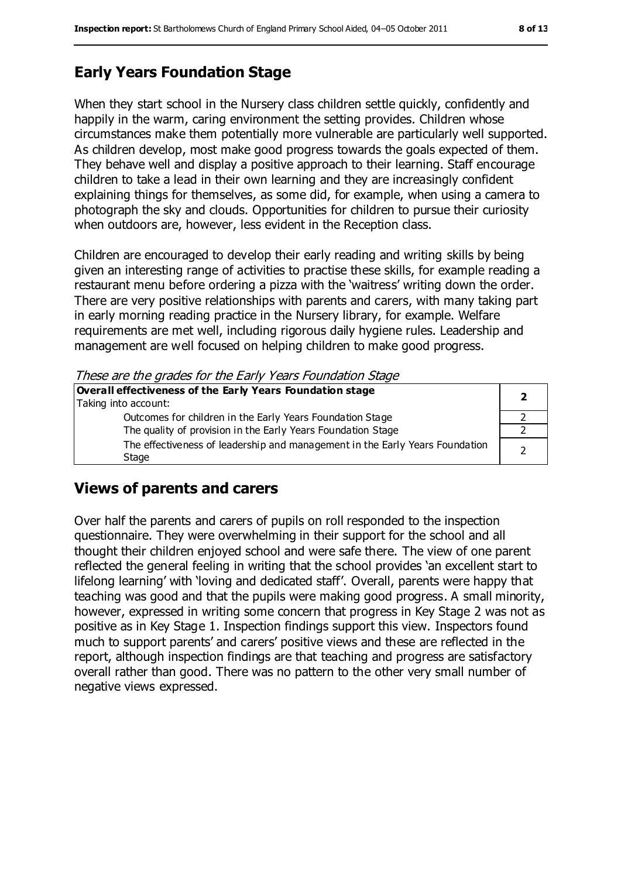## **Early Years Foundation Stage**

When they start school in the Nursery class children settle quickly, confidently and happily in the warm, caring environment the setting provides. Children whose circumstances make them potentially more vulnerable are particularly well supported. As children develop, most make good progress towards the goals expected of them. They behave well and display a positive approach to their learning. Staff encourage children to take a lead in their own learning and they are increasingly confident explaining things for themselves, as some did, for example, when using a camera to photograph the sky and clouds. Opportunities for children to pursue their curiosity when outdoors are, however, less evident in the Reception class.

Children are encouraged to develop their early reading and writing skills by being given an interesting range of activities to practise these skills, for example reading a restaurant menu before ordering a pizza with the 'waitress' writing down the order. There are very positive relationships with parents and carers, with many taking part in early morning reading practice in the Nursery library, for example. Welfare requirements are met well, including rigorous daily hygiene rules. Leadership and management are well focused on helping children to make good progress.

These are the grades for the Early Years Foundation Stage

| Overall effectiveness of the Early Years Foundation stage                             |  |
|---------------------------------------------------------------------------------------|--|
| Taking into account:                                                                  |  |
| Outcomes for children in the Early Years Foundation Stage                             |  |
| The quality of provision in the Early Years Foundation Stage                          |  |
| The effectiveness of leadership and management in the Early Years Foundation<br>Stage |  |

## **Views of parents and carers**

Over half the parents and carers of pupils on roll responded to the inspection questionnaire. They were overwhelming in their support for the school and all thought their children enjoyed school and were safe there. The view of one parent reflected the general feeling in writing that the school provides 'an excellent start to lifelong learning' with 'loving and dedicated staff'. Overall, parents were happy that teaching was good and that the pupils were making good progress. A small minority, however, expressed in writing some concern that progress in Key Stage 2 was not as positive as in Key Stage 1. Inspection findings support this view. Inspectors found much to support parents' and carers' positive views and these are reflected in the report, although inspection findings are that teaching and progress are satisfactory overall rather than good. There was no pattern to the other very small number of negative views expressed.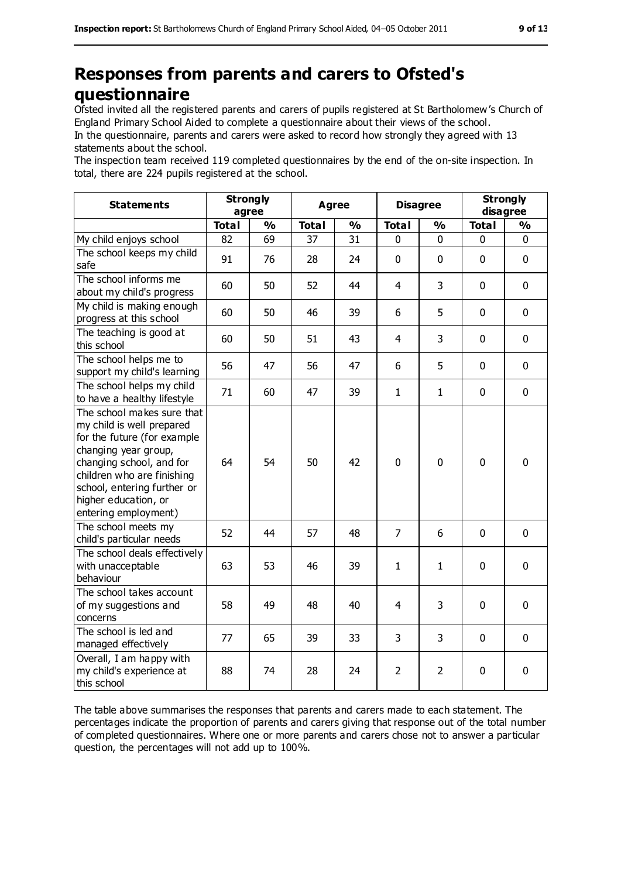## **Responses from parents and carers to Ofsted's questionnaire**

Ofsted invited all the registered parents and carers of pupils registered at St Bartholomew's Church of England Primary School Aided to complete a questionnaire about their views of the school.

In the questionnaire, parents and carers were asked to record how strongly they agreed with 13 statements about the school.

The inspection team received 119 completed questionnaires by the end of the on-site inspection. In total, there are 224 pupils registered at the school.

| <b>Statements</b>                                                                                                                                                                                                                                       | <b>Strongly</b><br>agree |               | <b>Agree</b> |               | <b>Disagree</b> |                | <b>Strongly</b><br>disagree |               |
|---------------------------------------------------------------------------------------------------------------------------------------------------------------------------------------------------------------------------------------------------------|--------------------------|---------------|--------------|---------------|-----------------|----------------|-----------------------------|---------------|
|                                                                                                                                                                                                                                                         | <b>Total</b>             | $\frac{1}{2}$ | <b>Total</b> | $\frac{0}{0}$ | <b>Total</b>    | $\frac{1}{2}$  | <b>Total</b>                | $\frac{0}{0}$ |
| My child enjoys school                                                                                                                                                                                                                                  | 82                       | 69            | 37           | 31            | 0               | $\mathbf 0$    | 0                           | 0             |
| The school keeps my child<br>safe                                                                                                                                                                                                                       | 91                       | 76            | 28           | 24            | 0               | $\mathbf 0$    | $\mathbf 0$                 | $\mathbf 0$   |
| The school informs me<br>about my child's progress                                                                                                                                                                                                      | 60                       | 50            | 52           | 44            | 4               | 3              | $\mathbf 0$                 | $\mathbf 0$   |
| My child is making enough<br>progress at this school                                                                                                                                                                                                    | 60                       | 50            | 46           | 39            | 6               | 5              | $\mathbf 0$                 | $\mathbf 0$   |
| The teaching is good at<br>this school                                                                                                                                                                                                                  | 60                       | 50            | 51           | 43            | $\overline{4}$  | 3              | $\mathbf 0$                 | $\mathbf 0$   |
| The school helps me to<br>support my child's learning                                                                                                                                                                                                   | 56                       | 47            | 56           | 47            | 6               | 5              | $\mathbf 0$                 | $\mathbf 0$   |
| The school helps my child<br>to have a healthy lifestyle                                                                                                                                                                                                | 71                       | 60            | 47           | 39            | $\mathbf{1}$    | $\mathbf{1}$   | $\mathbf 0$                 | $\mathbf 0$   |
| The school makes sure that<br>my child is well prepared<br>for the future (for example<br>changing year group,<br>changing school, and for<br>children who are finishing<br>school, entering further or<br>higher education, or<br>entering employment) | 64                       | 54            | 50           | 42            | $\mathbf 0$     | $\mathbf 0$    | $\mathbf 0$                 | $\mathbf 0$   |
| The school meets my<br>child's particular needs                                                                                                                                                                                                         | 52                       | 44            | 57           | 48            | $\overline{7}$  | 6              | $\mathbf 0$                 | $\mathbf 0$   |
| The school deals effectively<br>with unacceptable<br>behaviour                                                                                                                                                                                          | 63                       | 53            | 46           | 39            | $\mathbf{1}$    | $\mathbf 1$    | $\mathbf 0$                 | $\mathbf 0$   |
| The school takes account<br>of my suggestions and<br>concerns                                                                                                                                                                                           | 58                       | 49            | 48           | 40            | 4               | 3              | $\mathbf 0$                 | 0             |
| The school is led and<br>managed effectively                                                                                                                                                                                                            | 77                       | 65            | 39           | 33            | 3               | 3              | $\mathbf 0$                 | $\mathbf 0$   |
| Overall, I am happy with<br>my child's experience at<br>this school                                                                                                                                                                                     | 88                       | 74            | 28           | 24            | $\overline{2}$  | $\overline{2}$ | 0                           | 0             |

The table above summarises the responses that parents and carers made to each statement. The percentages indicate the proportion of parents and carers giving that response out of the total number of completed questionnaires. Where one or more parents and carers chose not to answer a particular question, the percentages will not add up to 100%.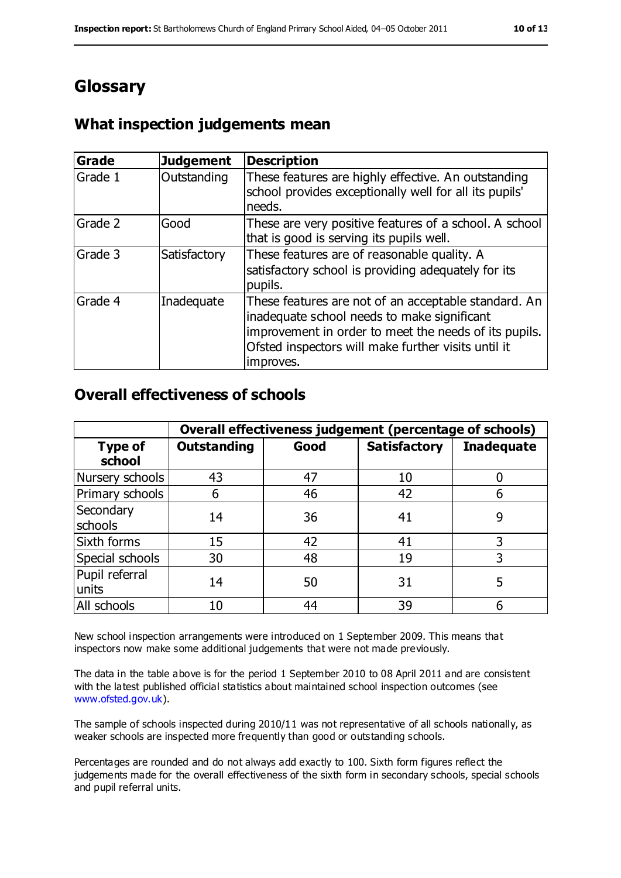## **Glossary**

## **What inspection judgements mean**

| <b>Grade</b> | <b>Judgement</b> | <b>Description</b>                                                                                                                                                                                                               |
|--------------|------------------|----------------------------------------------------------------------------------------------------------------------------------------------------------------------------------------------------------------------------------|
| Grade 1      | Outstanding      | These features are highly effective. An outstanding<br>school provides exceptionally well for all its pupils'<br>needs.                                                                                                          |
| Grade 2      | Good             | These are very positive features of a school. A school<br>that is good is serving its pupils well.                                                                                                                               |
| Grade 3      | Satisfactory     | These features are of reasonable quality. A<br>satisfactory school is providing adequately for its<br>pupils.                                                                                                                    |
| Grade 4      | Inadequate       | These features are not of an acceptable standard. An<br>inadequate school needs to make significant<br>improvement in order to meet the needs of its pupils.<br>Ofsted inspectors will make further visits until it<br>improves. |

#### **Overall effectiveness of schools**

|                          | Overall effectiveness judgement (percentage of schools) |      |                     |                   |
|--------------------------|---------------------------------------------------------|------|---------------------|-------------------|
| <b>Type of</b><br>school | <b>Outstanding</b>                                      | Good | <b>Satisfactory</b> | <b>Inadequate</b> |
| Nursery schools          | 43                                                      | 47   | 10                  |                   |
| Primary schools          | 6                                                       | 46   | 42                  |                   |
| Secondary<br>schools     | 14                                                      | 36   | 41                  | 9                 |
| Sixth forms              | 15                                                      | 42   | 41                  | 3                 |
| Special schools          | 30                                                      | 48   | 19                  | 3                 |
| Pupil referral<br>units  | 14                                                      | 50   | 31                  |                   |
| All schools              | 10                                                      | 44   | 39                  |                   |

New school inspection arrangements were introduced on 1 September 2009. This means that inspectors now make some additional judgements that were not made previously.

The data in the table above is for the period 1 September 2010 to 08 April 2011 and are consistent with the latest published official statistics about maintained school inspection outcomes (see [www.ofsted.gov.uk\)](http://www.ofsted.gov.uk).

The sample of schools inspected during 2010/11 was not representative of all schools nationally, as weaker schools are inspected more frequently than good or outstanding schools.

Percentages are rounded and do not always add exactly to 100. Sixth form figures reflect the judgements made for the overall effectiveness of the sixth form in secondary schools, special schools and pupil referral units.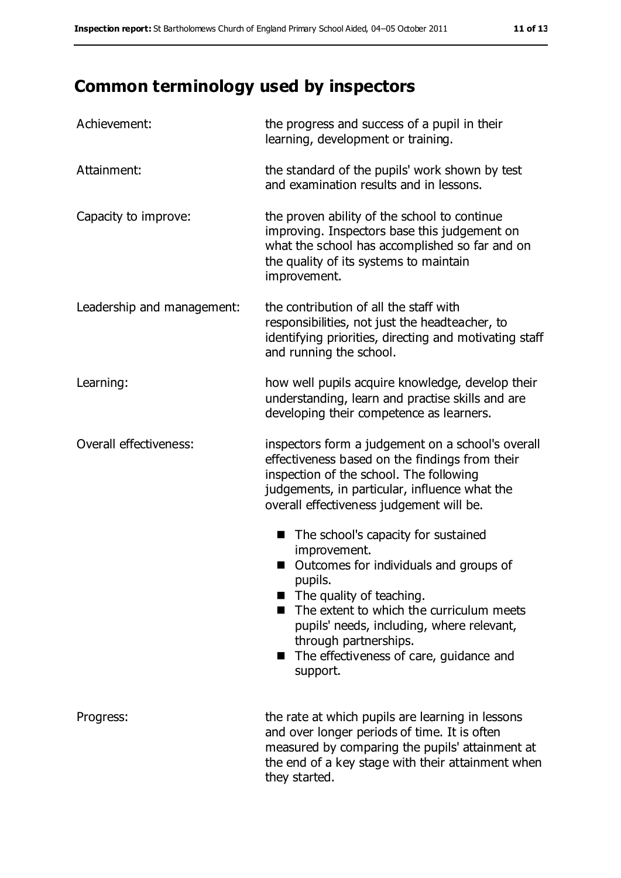# **Common terminology used by inspectors**

| Achievement:               | the progress and success of a pupil in their<br>learning, development or training.                                                                                                                                                                                                                                                          |  |  |
|----------------------------|---------------------------------------------------------------------------------------------------------------------------------------------------------------------------------------------------------------------------------------------------------------------------------------------------------------------------------------------|--|--|
| Attainment:                | the standard of the pupils' work shown by test<br>and examination results and in lessons.                                                                                                                                                                                                                                                   |  |  |
| Capacity to improve:       | the proven ability of the school to continue<br>improving. Inspectors base this judgement on<br>what the school has accomplished so far and on<br>the quality of its systems to maintain<br>improvement.                                                                                                                                    |  |  |
| Leadership and management: | the contribution of all the staff with<br>responsibilities, not just the headteacher, to<br>identifying priorities, directing and motivating staff<br>and running the school.                                                                                                                                                               |  |  |
| Learning:                  | how well pupils acquire knowledge, develop their<br>understanding, learn and practise skills and are<br>developing their competence as learners.                                                                                                                                                                                            |  |  |
| Overall effectiveness:     | inspectors form a judgement on a school's overall<br>effectiveness based on the findings from their<br>inspection of the school. The following<br>judgements, in particular, influence what the<br>overall effectiveness judgement will be.                                                                                                 |  |  |
|                            | The school's capacity for sustained<br>П<br>improvement.<br>Outcomes for individuals and groups of<br>pupils.<br>$\blacksquare$ The quality of teaching.<br>The extent to which the curriculum meets<br>pupils' needs, including, where relevant,<br>through partnerships.<br>The effectiveness of care, guidance and<br>a seri<br>support. |  |  |
| Progress:                  | the rate at which pupils are learning in lessons<br>and over longer periods of time. It is often<br>measured by comparing the pupils' attainment at<br>the end of a key stage with their attainment when<br>they started.                                                                                                                   |  |  |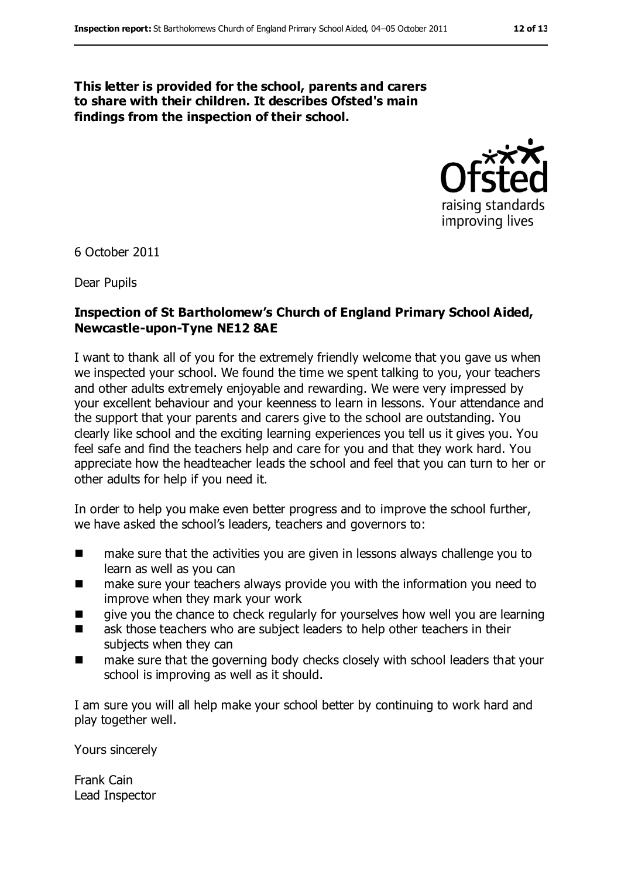#### **This letter is provided for the school, parents and carers to share with their children. It describes Ofsted's main findings from the inspection of their school.**



6 October 2011

Dear Pupils

#### **Inspection of St Bartholomew's Church of England Primary School Aided, Newcastle-upon-Tyne NE12 8AE**

I want to thank all of you for the extremely friendly welcome that you gave us when we inspected your school. We found the time we spent talking to you, your teachers and other adults extremely enjoyable and rewarding. We were very impressed by your excellent behaviour and your keenness to learn in lessons. Your attendance and the support that your parents and carers give to the school are outstanding. You clearly like school and the exciting learning experiences you tell us it gives you. You feel safe and find the teachers help and care for you and that they work hard. You appreciate how the headteacher leads the school and feel that you can turn to her or other adults for help if you need it.

In order to help you make even better progress and to improve the school further, we have asked the school's leaders, teachers and governors to:

- make sure that the activities you are given in lessons always challenge you to learn as well as you can
- make sure your teachers always provide you with the information you need to improve when they mark your work
- give you the chance to check regularly for yourselves how well you are learning
- **EXECUTE:** ask those teachers who are subject leaders to help other teachers in their subjects when they can
- make sure that the governing body checks closely with school leaders that your school is improving as well as it should.

I am sure you will all help make your school better by continuing to work hard and play together well.

Yours sincerely

Frank Cain Lead Inspector